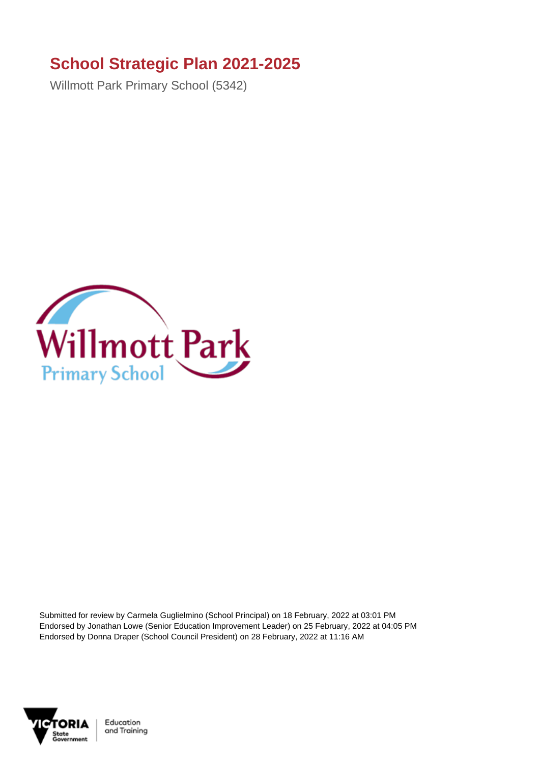## **School Strategic Plan 2021-2025**

Willmott Park Primary School (5342)



Submitted for review by Carmela Guglielmino (School Principal) on 18 February, 2022 at 03:01 PM Endorsed by Jonathan Lowe (Senior Education Improvement Leader) on 25 February, 2022 at 04:05 PM Endorsed by Donna Draper (School Council President) on 28 February, 2022 at 11:16 AM



Education and Training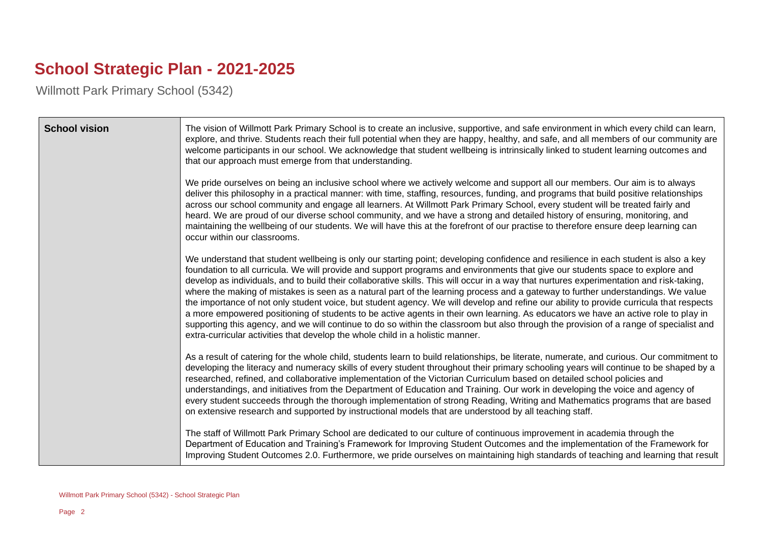## **School Strategic Plan - 2021-2025**

Willmott Park Primary School (5342)

| <b>School vision</b> | The vision of Willmott Park Primary School is to create an inclusive, supportive, and safe environment in which every child can learn,<br>explore, and thrive. Students reach their full potential when they are happy, healthy, and safe, and all members of our community are<br>welcome participants in our school. We acknowledge that student wellbeing is intrinsically linked to student learning outcomes and<br>that our approach must emerge from that understanding.                                                                                                                                                                                                                                                                                                                                                                                                                                                                                                                                                                                    |
|----------------------|--------------------------------------------------------------------------------------------------------------------------------------------------------------------------------------------------------------------------------------------------------------------------------------------------------------------------------------------------------------------------------------------------------------------------------------------------------------------------------------------------------------------------------------------------------------------------------------------------------------------------------------------------------------------------------------------------------------------------------------------------------------------------------------------------------------------------------------------------------------------------------------------------------------------------------------------------------------------------------------------------------------------------------------------------------------------|
|                      | We pride ourselves on being an inclusive school where we actively welcome and support all our members. Our aim is to always<br>deliver this philosophy in a practical manner: with time, staffing, resources, funding, and programs that build positive relationships<br>across our school community and engage all learners. At Willmott Park Primary School, every student will be treated fairly and<br>heard. We are proud of our diverse school community, and we have a strong and detailed history of ensuring, monitoring, and<br>maintaining the wellbeing of our students. We will have this at the forefront of our practise to therefore ensure deep learning can<br>occur within our classrooms.                                                                                                                                                                                                                                                                                                                                                      |
|                      | We understand that student wellbeing is only our starting point; developing confidence and resilience in each student is also a key<br>foundation to all curricula. We will provide and support programs and environments that give our students space to explore and<br>develop as individuals, and to build their collaborative skills. This will occur in a way that nurtures experimentation and risk-taking,<br>where the making of mistakes is seen as a natural part of the learning process and a gateway to further understandings. We value<br>the importance of not only student voice, but student agency. We will develop and refine our ability to provide curricula that respects<br>a more empowered positioning of students to be active agents in their own learning. As educators we have an active role to play in<br>supporting this agency, and we will continue to do so within the classroom but also through the provision of a range of specialist and<br>extra-curricular activities that develop the whole child in a holistic manner. |
|                      | As a result of catering for the whole child, students learn to build relationships, be literate, numerate, and curious. Our commitment to<br>developing the literacy and numeracy skills of every student throughout their primary schooling years will continue to be shaped by a<br>researched, refined, and collaborative implementation of the Victorian Curriculum based on detailed school policies and<br>understandings, and initiatives from the Department of Education and Training. Our work in developing the voice and agency of<br>every student succeeds through the thorough implementation of strong Reading, Writing and Mathematics programs that are based<br>on extensive research and supported by instructional models that are understood by all teaching staff.                                                                                                                                                                                                                                                                          |
|                      | The staff of Willmott Park Primary School are dedicated to our culture of continuous improvement in academia through the<br>Department of Education and Training's Framework for Improving Student Outcomes and the implementation of the Framework for<br>Improving Student Outcomes 2.0. Furthermore, we pride ourselves on maintaining high standards of teaching and learning that result                                                                                                                                                                                                                                                                                                                                                                                                                                                                                                                                                                                                                                                                      |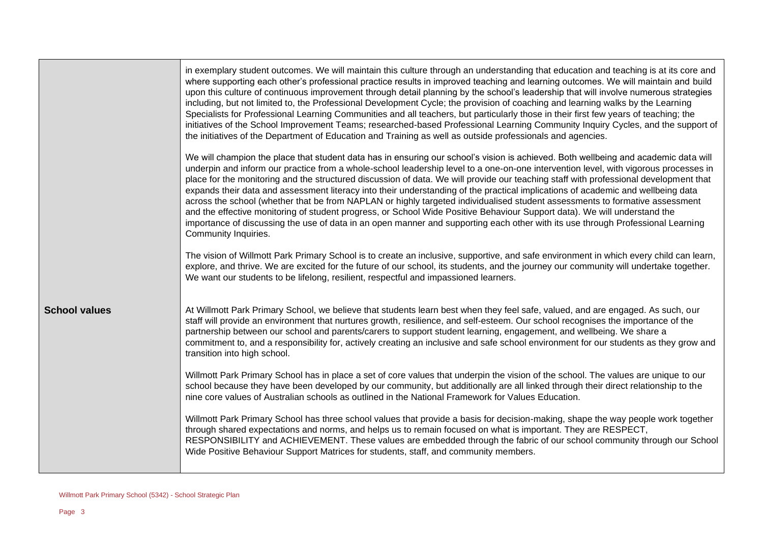|                      | in exemplary student outcomes. We will maintain this culture through an understanding that education and teaching is at its core and<br>where supporting each other's professional practice results in improved teaching and learning outcomes. We will maintain and build<br>upon this culture of continuous improvement through detail planning by the school's leadership that will involve numerous strategies<br>including, but not limited to, the Professional Development Cycle; the provision of coaching and learning walks by the Learning<br>Specialists for Professional Learning Communities and all teachers, but particularly those in their first few years of teaching; the<br>initiatives of the School Improvement Teams; researched-based Professional Learning Community Inquiry Cycles, and the support of<br>the initiatives of the Department of Education and Training as well as outside professionals and agencies.                                  |
|----------------------|----------------------------------------------------------------------------------------------------------------------------------------------------------------------------------------------------------------------------------------------------------------------------------------------------------------------------------------------------------------------------------------------------------------------------------------------------------------------------------------------------------------------------------------------------------------------------------------------------------------------------------------------------------------------------------------------------------------------------------------------------------------------------------------------------------------------------------------------------------------------------------------------------------------------------------------------------------------------------------|
|                      | We will champion the place that student data has in ensuring our school's vision is achieved. Both wellbeing and academic data will<br>underpin and inform our practice from a whole-school leadership level to a one-on-one intervention level, with vigorous processes in<br>place for the monitoring and the structured discussion of data. We will provide our teaching staff with professional development that<br>expands their data and assessment literacy into their understanding of the practical implications of academic and wellbeing data<br>across the school (whether that be from NAPLAN or highly targeted individualised student assessments to formative assessment<br>and the effective monitoring of student progress, or School Wide Positive Behaviour Support data). We will understand the<br>importance of discussing the use of data in an open manner and supporting each other with its use through Professional Learning<br>Community Inquiries. |
|                      | The vision of Willmott Park Primary School is to create an inclusive, supportive, and safe environment in which every child can learn,<br>explore, and thrive. We are excited for the future of our school, its students, and the journey our community will undertake together.<br>We want our students to be lifelong, resilient, respectful and impassioned learners.                                                                                                                                                                                                                                                                                                                                                                                                                                                                                                                                                                                                         |
| <b>School values</b> | At Willmott Park Primary School, we believe that students learn best when they feel safe, valued, and are engaged. As such, our<br>staff will provide an environment that nurtures growth, resilience, and self-esteem. Our school recognises the importance of the<br>partnership between our school and parents/carers to support student learning, engagement, and wellbeing. We share a<br>commitment to, and a responsibility for, actively creating an inclusive and safe school environment for our students as they grow and<br>transition into high school.                                                                                                                                                                                                                                                                                                                                                                                                             |
|                      | Willmott Park Primary School has in place a set of core values that underpin the vision of the school. The values are unique to our<br>school because they have been developed by our community, but additionally are all linked through their direct relationship to the<br>nine core values of Australian schools as outlined in the National Framework for Values Education.                                                                                                                                                                                                                                                                                                                                                                                                                                                                                                                                                                                                  |
|                      | Willmott Park Primary School has three school values that provide a basis for decision-making, shape the way people work together<br>through shared expectations and norms, and helps us to remain focused on what is important. They are RESPECT,<br>RESPONSIBILITY and ACHIEVEMENT. These values are embedded through the fabric of our school community through our School<br>Wide Positive Behaviour Support Matrices for students, staff, and community members.                                                                                                                                                                                                                                                                                                                                                                                                                                                                                                            |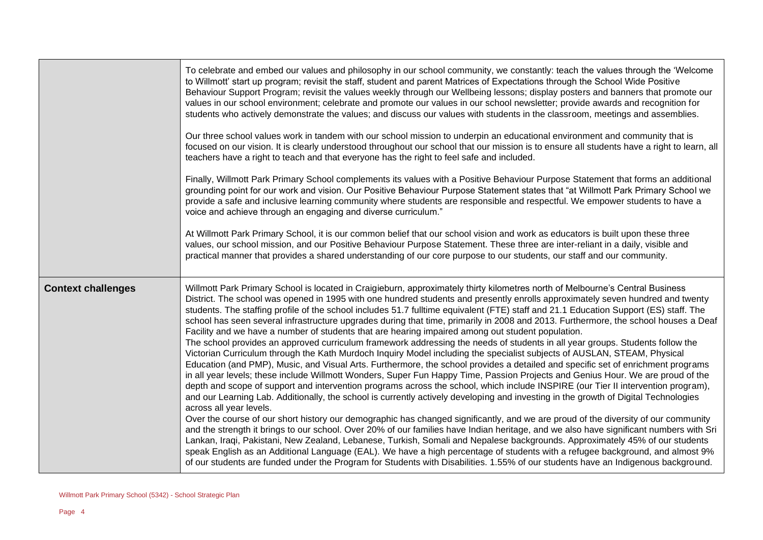|                           | To celebrate and embed our values and philosophy in our school community, we constantly: teach the values through the 'Welcome<br>to Willmott' start up program; revisit the staff, student and parent Matrices of Expectations through the School Wide Positive<br>Behaviour Support Program; revisit the values weekly through our Wellbeing lessons; display posters and banners that promote our<br>values in our school environment; celebrate and promote our values in our school newsletter; provide awards and recognition for<br>students who actively demonstrate the values; and discuss our values with students in the classroom, meetings and assemblies.<br>Our three school values work in tandem with our school mission to underpin an educational environment and community that is                                                                                                                                                                                                                                                                                                                                                                                                                                                                                                                                                                                                                                                                                                                                                                                                                                                                                                                                                                                                                                                                                                                                                                                                                                                                                                                                                                               |
|---------------------------|---------------------------------------------------------------------------------------------------------------------------------------------------------------------------------------------------------------------------------------------------------------------------------------------------------------------------------------------------------------------------------------------------------------------------------------------------------------------------------------------------------------------------------------------------------------------------------------------------------------------------------------------------------------------------------------------------------------------------------------------------------------------------------------------------------------------------------------------------------------------------------------------------------------------------------------------------------------------------------------------------------------------------------------------------------------------------------------------------------------------------------------------------------------------------------------------------------------------------------------------------------------------------------------------------------------------------------------------------------------------------------------------------------------------------------------------------------------------------------------------------------------------------------------------------------------------------------------------------------------------------------------------------------------------------------------------------------------------------------------------------------------------------------------------------------------------------------------------------------------------------------------------------------------------------------------------------------------------------------------------------------------------------------------------------------------------------------------------------------------------------------------------------------------------------------------|
|                           | focused on our vision. It is clearly understood throughout our school that our mission is to ensure all students have a right to learn, all<br>teachers have a right to teach and that everyone has the right to feel safe and included.                                                                                                                                                                                                                                                                                                                                                                                                                                                                                                                                                                                                                                                                                                                                                                                                                                                                                                                                                                                                                                                                                                                                                                                                                                                                                                                                                                                                                                                                                                                                                                                                                                                                                                                                                                                                                                                                                                                                              |
|                           | Finally, Willmott Park Primary School complements its values with a Positive Behaviour Purpose Statement that forms an additional<br>grounding point for our work and vision. Our Positive Behaviour Purpose Statement states that "at Willmott Park Primary School we<br>provide a safe and inclusive learning community where students are responsible and respectful. We empower students to have a<br>voice and achieve through an engaging and diverse curriculum."                                                                                                                                                                                                                                                                                                                                                                                                                                                                                                                                                                                                                                                                                                                                                                                                                                                                                                                                                                                                                                                                                                                                                                                                                                                                                                                                                                                                                                                                                                                                                                                                                                                                                                              |
|                           | At Willmott Park Primary School, it is our common belief that our school vision and work as educators is built upon these three<br>values, our school mission, and our Positive Behaviour Purpose Statement. These three are inter-reliant in a daily, visible and<br>practical manner that provides a shared understanding of our core purpose to our students, our staff and our community.                                                                                                                                                                                                                                                                                                                                                                                                                                                                                                                                                                                                                                                                                                                                                                                                                                                                                                                                                                                                                                                                                                                                                                                                                                                                                                                                                                                                                                                                                                                                                                                                                                                                                                                                                                                         |
| <b>Context challenges</b> | Willmott Park Primary School is located in Craigieburn, approximately thirty kilometres north of Melbourne's Central Business<br>District. The school was opened in 1995 with one hundred students and presently enrolls approximately seven hundred and twenty<br>students. The staffing profile of the school includes 51.7 fulltime equivalent (FTE) staff and 21.1 Education Support (ES) staff. The<br>school has seen several infrastructure upgrades during that time, primarily in 2008 and 2013. Furthermore, the school houses a Deaf<br>Facility and we have a number of students that are hearing impaired among out student population.<br>The school provides an approved curriculum framework addressing the needs of students in all year groups. Students follow the<br>Victorian Curriculum through the Kath Murdoch Inquiry Model including the specialist subjects of AUSLAN, STEAM, Physical<br>Education (and PMP), Music, and Visual Arts. Furthermore, the school provides a detailed and specific set of enrichment programs<br>in all year levels; these include Willmott Wonders, Super Fun Happy Time, Passion Projects and Genius Hour. We are proud of the<br>depth and scope of support and intervention programs across the school, which include INSPIRE (our Tier II intervention program),<br>and our Learning Lab. Additionally, the school is currently actively developing and investing in the growth of Digital Technologies<br>across all year levels.<br>Over the course of our short history our demographic has changed significantly, and we are proud of the diversity of our community<br>and the strength it brings to our school. Over 20% of our families have Indian heritage, and we also have significant numbers with Sri<br>Lankan, Iraqi, Pakistani, New Zealand, Lebanese, Turkish, Somali and Nepalese backgrounds. Approximately 45% of our students<br>speak English as an Additional Language (EAL). We have a high percentage of students with a refugee background, and almost 9%<br>of our students are funded under the Program for Students with Disabilities. 1.55% of our students have an Indigenous background. |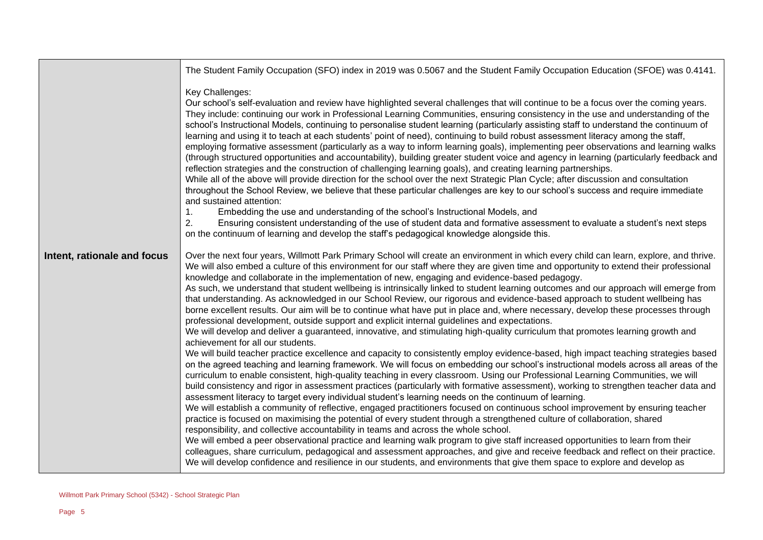|                             | The Student Family Occupation (SFO) index in 2019 was 0.5067 and the Student Family Occupation Education (SFOE) was 0.4141.                                                                                                                                                                                                                                                                                                                                                                                                                                                                                                                                                                                                                                                                                                                                                                                                                                                                                                                                                                                                                                                                                                                                                                                                                                                                                                                                                                                                                                                                                                                                                                                                                                                                                                                                                                                                                                                                                                                                                                                                                                                                                                                                                                                                                                                                                                                                                                        |
|-----------------------------|----------------------------------------------------------------------------------------------------------------------------------------------------------------------------------------------------------------------------------------------------------------------------------------------------------------------------------------------------------------------------------------------------------------------------------------------------------------------------------------------------------------------------------------------------------------------------------------------------------------------------------------------------------------------------------------------------------------------------------------------------------------------------------------------------------------------------------------------------------------------------------------------------------------------------------------------------------------------------------------------------------------------------------------------------------------------------------------------------------------------------------------------------------------------------------------------------------------------------------------------------------------------------------------------------------------------------------------------------------------------------------------------------------------------------------------------------------------------------------------------------------------------------------------------------------------------------------------------------------------------------------------------------------------------------------------------------------------------------------------------------------------------------------------------------------------------------------------------------------------------------------------------------------------------------------------------------------------------------------------------------------------------------------------------------------------------------------------------------------------------------------------------------------------------------------------------------------------------------------------------------------------------------------------------------------------------------------------------------------------------------------------------------------------------------------------------------------------------------------------------------|
|                             | Key Challenges:<br>Our school's self-evaluation and review have highlighted several challenges that will continue to be a focus over the coming years.<br>They include: continuing our work in Professional Learning Communities, ensuring consistency in the use and understanding of the<br>school's Instructional Models, continuing to personalise student learning (particularly assisting staff to understand the continuum of<br>learning and using it to teach at each students' point of need), continuing to build robust assessment literacy among the staff,<br>employing formative assessment (particularly as a way to inform learning goals), implementing peer observations and learning walks<br>(through structured opportunities and accountability), building greater student voice and agency in learning (particularly feedback and<br>reflection strategies and the construction of challenging learning goals), and creating learning partnerships.<br>While all of the above will provide direction for the school over the next Strategic Plan Cycle; after discussion and consultation<br>throughout the School Review, we believe that these particular challenges are key to our school's success and require immediate<br>and sustained attention:<br>Embedding the use and understanding of the school's Instructional Models, and<br>1.<br>2.<br>Ensuring consistent understanding of the use of student data and formative assessment to evaluate a student's next steps<br>on the continuum of learning and develop the staff's pedagogical knowledge alongside this.                                                                                                                                                                                                                                                                                                                                                                                                                                                                                                                                                                                                                                                                                                                                                                                                                                                                                            |
| Intent, rationale and focus | Over the next four years, Willmott Park Primary School will create an environment in which every child can learn, explore, and thrive.<br>We will also embed a culture of this environment for our staff where they are given time and opportunity to extend their professional<br>knowledge and collaborate in the implementation of new, engaging and evidence-based pedagogy.<br>As such, we understand that student wellbeing is intrinsically linked to student learning outcomes and our approach will emerge from<br>that understanding. As acknowledged in our School Review, our rigorous and evidence-based approach to student wellbeing has<br>borne excellent results. Our aim will be to continue what have put in place and, where necessary, develop these processes through<br>professional development, outside support and explicit internal guidelines and expectations.<br>We will develop and deliver a guaranteed, innovative, and stimulating high-quality curriculum that promotes learning growth and<br>achievement for all our students.<br>We will build teacher practice excellence and capacity to consistently employ evidence-based, high impact teaching strategies based<br>on the agreed teaching and learning framework. We will focus on embedding our school's instructional models across all areas of the<br>curriculum to enable consistent, high-quality teaching in every classroom. Using our Professional Learning Communities, we will<br>build consistency and rigor in assessment practices (particularly with formative assessment), working to strengthen teacher data and<br>assessment literacy to target every individual student's learning needs on the continuum of learning.<br>We will establish a community of reflective, engaged practitioners focused on continuous school improvement by ensuring teacher<br>practice is focused on maximising the potential of every student through a strengthened culture of collaboration, shared<br>responsibility, and collective accountability in teams and across the whole school.<br>We will embed a peer observational practice and learning walk program to give staff increased opportunities to learn from their<br>colleagues, share curriculum, pedagogical and assessment approaches, and give and receive feedback and reflect on their practice.<br>We will develop confidence and resilience in our students, and environments that give them space to explore and develop as |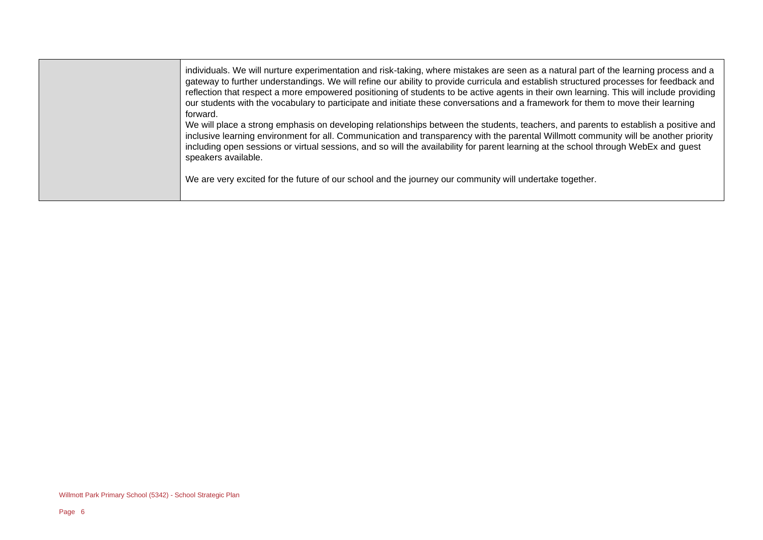| individuals. We will nurture experimentation and risk-taking, where mistakes are seen as a natural part of the learning process and a<br>gateway to further understandings. We will refine our ability to provide curricula and establish structured processes for feedback and<br>reflection that respect a more empowered positioning of students to be active agents in their own learning. This will include providing<br>our students with the vocabulary to participate and initiate these conversations and a framework for them to move their learning<br>forward. |
|----------------------------------------------------------------------------------------------------------------------------------------------------------------------------------------------------------------------------------------------------------------------------------------------------------------------------------------------------------------------------------------------------------------------------------------------------------------------------------------------------------------------------------------------------------------------------|
| We will place a strong emphasis on developing relationships between the students, teachers, and parents to establish a positive and<br>inclusive learning environment for all. Communication and transparency with the parental Willmott community will be another priority<br>including open sessions or virtual sessions, and so will the availability for parent learning at the school through WebEx and guest<br>speakers available.                                                                                                                                  |
| We are very excited for the future of our school and the journey our community will undertake together.                                                                                                                                                                                                                                                                                                                                                                                                                                                                    |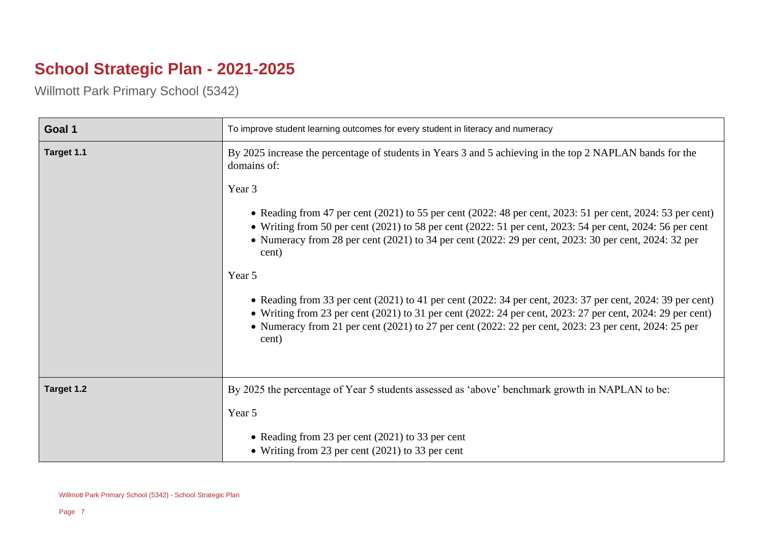## **School Strategic Plan - 2021-2025**

Willmott Park Primary School (5342)

| Goal 1     | To improve student learning outcomes for every student in literacy and numeracy                                                                                                                                                                                                                                                                           |
|------------|-----------------------------------------------------------------------------------------------------------------------------------------------------------------------------------------------------------------------------------------------------------------------------------------------------------------------------------------------------------|
| Target 1.1 | By 2025 increase the percentage of students in Years 3 and 5 achieving in the top 2 NAPLAN bands for the<br>domains of:                                                                                                                                                                                                                                   |
|            | Year 3                                                                                                                                                                                                                                                                                                                                                    |
|            | • Reading from 47 per cent $(2021)$ to 55 per cent $(2022: 48$ per cent, $2023: 51$ per cent, $2024: 53$ per cent)<br>• Writing from 50 per cent $(2021)$ to 58 per cent $(2022: 51$ per cent, $2023: 54$ per cent, $2024: 56$ per cent<br>• Numeracy from 28 per cent (2021) to 34 per cent (2022: 29 per cent, 2023: 30 per cent, 2024: 32 per<br>cent) |
|            | Year 5                                                                                                                                                                                                                                                                                                                                                    |
|            | • Reading from 33 per cent (2021) to 41 per cent (2022: 34 per cent, 2023: 37 per cent, 2024: 39 per cent)<br>• Writing from 23 per cent $(2021)$ to 31 per cent $(2022: 24$ per cent, $2023: 27$ per cent, $2024: 29$ per cent)<br>• Numeracy from 21 per cent (2021) to 27 per cent (2022: 22 per cent, 2023: 23 per cent, 2024: 25 per<br>cent)        |
| Target 1.2 | By 2025 the percentage of Year 5 students assessed as 'above' benchmark growth in NAPLAN to be:                                                                                                                                                                                                                                                           |
|            | Year 5                                                                                                                                                                                                                                                                                                                                                    |
|            | • Reading from 23 per cent $(2021)$ to 33 per cent<br>• Writing from 23 per cent $(2021)$ to 33 per cent                                                                                                                                                                                                                                                  |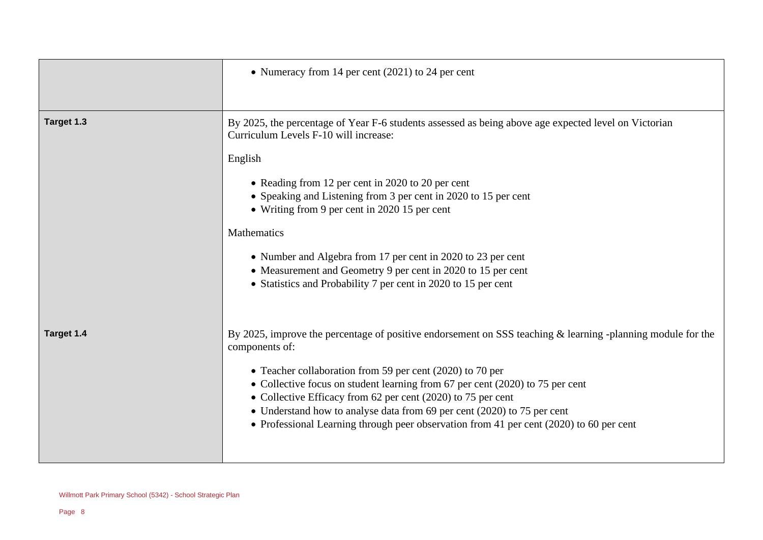|            | • Numeracy from 14 per cent $(2021)$ to 24 per cent                                                                                                                                                                                                                                                                                                                                                                                                                                                                                                |
|------------|----------------------------------------------------------------------------------------------------------------------------------------------------------------------------------------------------------------------------------------------------------------------------------------------------------------------------------------------------------------------------------------------------------------------------------------------------------------------------------------------------------------------------------------------------|
| Target 1.3 | By 2025, the percentage of Year F-6 students assessed as being above age expected level on Victorian<br>Curriculum Levels F-10 will increase:<br>English<br>• Reading from 12 per cent in 2020 to 20 per cent<br>• Speaking and Listening from 3 per cent in 2020 to 15 per cent<br>• Writing from 9 per cent in 2020 15 per cent<br>Mathematics<br>• Number and Algebra from 17 per cent in 2020 to 23 per cent<br>• Measurement and Geometry 9 per cent in 2020 to 15 per cent<br>• Statistics and Probability 7 per cent in 2020 to 15 per cent |
| Target 1.4 | By 2025, improve the percentage of positive endorsement on SSS teaching & learning -planning module for the<br>components of:<br>• Teacher collaboration from 59 per cent (2020) to 70 per<br>• Collective focus on student learning from 67 per cent (2020) to 75 per cent<br>• Collective Efficacy from 62 per cent (2020) to 75 per cent<br>• Understand how to analyse data from 69 per cent (2020) to 75 per cent<br>• Professional Learning through peer observation from 41 per cent (2020) to 60 per cent                                  |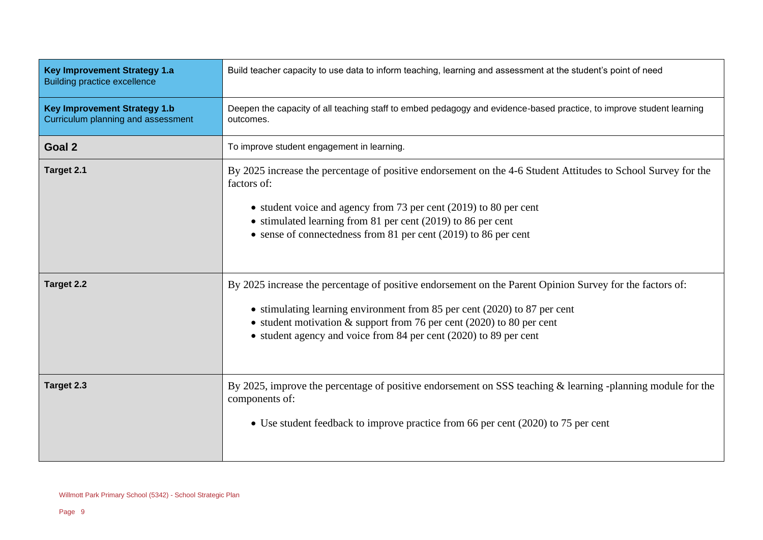| <b>Key Improvement Strategy 1.a</b><br><b>Building practice excellence</b> | Build teacher capacity to use data to inform teaching, learning and assessment at the student's point of need                                                                                                                                                                                                                            |
|----------------------------------------------------------------------------|------------------------------------------------------------------------------------------------------------------------------------------------------------------------------------------------------------------------------------------------------------------------------------------------------------------------------------------|
| <b>Key Improvement Strategy 1.b</b><br>Curriculum planning and assessment  | Deepen the capacity of all teaching staff to embed pedagogy and evidence-based practice, to improve student learning<br>outcomes.                                                                                                                                                                                                        |
| Goal 2                                                                     | To improve student engagement in learning.                                                                                                                                                                                                                                                                                               |
| Target 2.1                                                                 | By 2025 increase the percentage of positive endorsement on the 4-6 Student Attitudes to School Survey for the<br>factors of:<br>• student voice and agency from 73 per cent (2019) to 80 per cent<br>• stimulated learning from 81 per cent (2019) to 86 per cent<br>• sense of connectedness from 81 per cent (2019) to 86 per cent     |
| Target 2.2                                                                 | By 2025 increase the percentage of positive endorsement on the Parent Opinion Survey for the factors of:<br>• stimulating learning environment from 85 per cent (2020) to 87 per cent<br>• student motivation $\&$ support from 76 per cent (2020) to 80 per cent<br>• student agency and voice from 84 per cent $(2020)$ to 89 per cent |
| Target 2.3                                                                 | By 2025, improve the percentage of positive endorsement on SSS teaching $\&$ learning -planning module for the<br>components of:<br>• Use student feedback to improve practice from 66 per cent (2020) to 75 per cent                                                                                                                    |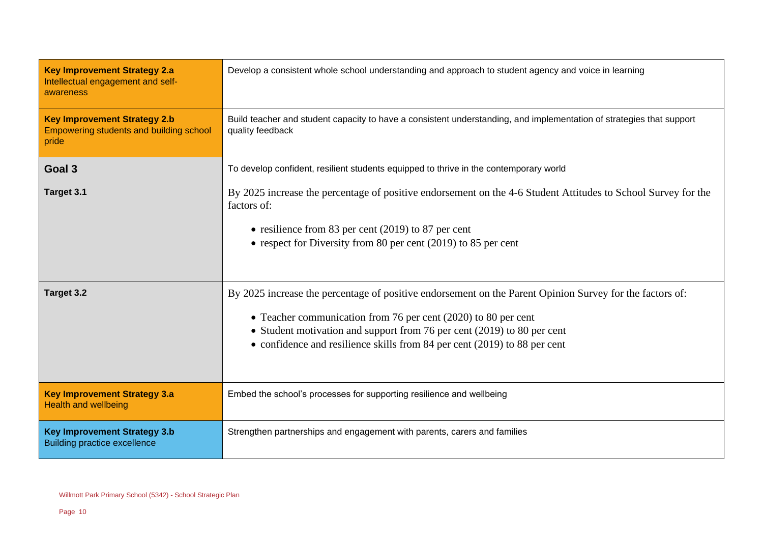| <b>Key Improvement Strategy 2.a</b><br>Intellectual engagement and self-<br>awareness   | Develop a consistent whole school understanding and approach to student agency and voice in learning                                                                                                                                                                                                                               |
|-----------------------------------------------------------------------------------------|------------------------------------------------------------------------------------------------------------------------------------------------------------------------------------------------------------------------------------------------------------------------------------------------------------------------------------|
| <b>Key Improvement Strategy 2.b</b><br>Empowering students and building school<br>pride | Build teacher and student capacity to have a consistent understanding, and implementation of strategies that support<br>quality feedback                                                                                                                                                                                           |
| Goal 3                                                                                  | To develop confident, resilient students equipped to thrive in the contemporary world                                                                                                                                                                                                                                              |
| Target 3.1                                                                              | By 2025 increase the percentage of positive endorsement on the 4-6 Student Attitudes to School Survey for the<br>factors of:<br>• resilience from 83 per cent $(2019)$ to 87 per cent                                                                                                                                              |
|                                                                                         | • respect for Diversity from 80 per cent $(2019)$ to 85 per cent                                                                                                                                                                                                                                                                   |
| Target 3.2                                                                              | By 2025 increase the percentage of positive endorsement on the Parent Opinion Survey for the factors of:<br>• Teacher communication from 76 per cent (2020) to 80 per cent<br>• Student motivation and support from 76 per cent (2019) to 80 per cent<br>• confidence and resilience skills from 84 per cent (2019) to 88 per cent |
| <b>Key Improvement Strategy 3.a</b><br><b>Health and wellbeing</b>                      | Embed the school's processes for supporting resilience and wellbeing                                                                                                                                                                                                                                                               |
| <b>Key Improvement Strategy 3.b</b><br><b>Building practice excellence</b>              | Strengthen partnerships and engagement with parents, carers and families                                                                                                                                                                                                                                                           |